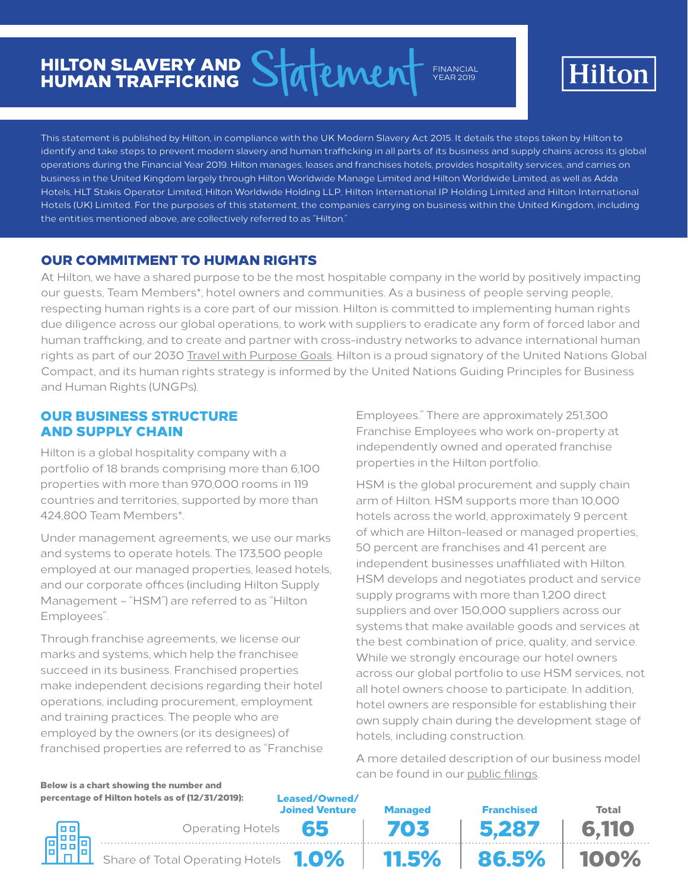# HILTON SLAVERY AND HUMAN TRAFFICKING

Statement FINANCIAL YEAR 2019



This statement is published by Hilton, in compliance with the UK Modern Slavery Act 2015. It details the steps taken by Hilton to identify and take steps to prevent modern slavery and human trafficking in all parts of its business and supply chains across its global operations during the Financial Year 2019. Hilton manages, leases and franchises hotels, provides hospitality services, and carries on business in the United Kingdom largely through Hilton Worldwide Manage Limited and Hilton Worldwide Limited, as well as Adda Hotels, HLT Stakis Operator Limited, Hilton Worldwide Holding LLP, Hilton International IP Holding Limited and Hilton International Hotels (UK) Limited. For the purposes of this statement, the companies carrying on business within the United Kingdom, including the entities mentioned above, are collectively referred to as "Hilton."

# OUR COMMITMENT TO HUMAN RIGHTS

At Hilton, we have a shared purpose to be the most hospitable company in the world by positively impacting our guests, Team Members\*, hotel owners and communities. As a business of people serving people, respecting human rights is a core part of our mission. Hilton is committed to implementing human rights due diligence across our global operations, to work with suppliers to eradicate any form of forced labor and human trafficking, and to create and partner with cross-industry networks to advance international human rights as part of our 2030 [Travel with Purpose Goals.](https://cr.hilton.com/toward2030/) Hilton is a proud signatory of the United Nations Global Compact, and its human rights strategy is informed by the United Nations Guiding Principles for Business and Human Rights (UNGPs).

# OUR BUSINESS STRUCTURE AND SUPPLY CHAIN

Hilton is a global hospitality company with a portfolio of 18 brands comprising more than 6,100 properties with more than 970,000 rooms in 119 countries and territories, supported by more than 424,800 Team Members\*.

Under management agreements, we use our marks and systems to operate hotels. The 173,500 people employed at our managed properties, leased hotels, and our corporate offices (including Hilton Supply Management – "HSM") are referred to as "Hilton Employees".

Through franchise agreements, we license our marks and systems, which help the franchisee succeed in its business. Franchised properties make independent decisions regarding their hotel operations, including procurement, employment and training practices. The people who are employed by the owners (or its designees) of franchised properties are referred to as "Franchise

Employees." There are approximately 251,300 Franchise Employees who work on-property at independently owned and operated franchise properties in the Hilton portfolio.

HSM is the global procurement and supply chain arm of Hilton. HSM supports more than 10,000 hotels across the world, approximately 9 percent of which are Hilton-leased or managed properties, 50 percent are franchises and 41 percent are independent businesses unaffiliated with Hilton. HSM develops and negotiates product and service supply programs with more than 1,200 direct suppliers and over 150,000 suppliers across our systems that make available goods and services at the best combination of price, quality, and service. While we strongly encourage our hotel owners across our global portfolio to use HSM services, not all hotel owners choose to participate. In addition, hotel owners are responsible for establishing their own supply chain during the development stage of hotels, including construction.

A more detailed description of our business model can be found in our [public filings.](https://otp.tools.investis.com/clients/us/hilton_worldwide2/SEC/sec-outline.aspx?FilingId=13217616&Cik=0001585689&PaperOnly=0&HasOriginal=1)

|                                                 | Below is a chart showing the number and |                                        |                |                    |              |
|-------------------------------------------------|-----------------------------------------|----------------------------------------|----------------|--------------------|--------------|
| percentage of Hilton hotels as of (12/31/2019): |                                         | Leased/Owned/<br><b>Joined Venture</b> | <b>Managed</b> | <b>Franchised</b>  | <b>Total</b> |
| 鼺                                               | Operating Hotels 65                     |                                        | 703            | 5.287              | 6.110        |
|                                                 | Share of Total Operating Hotels 1.0%    |                                        |                | <b>11.5% 86.5%</b> | $  100\%$    |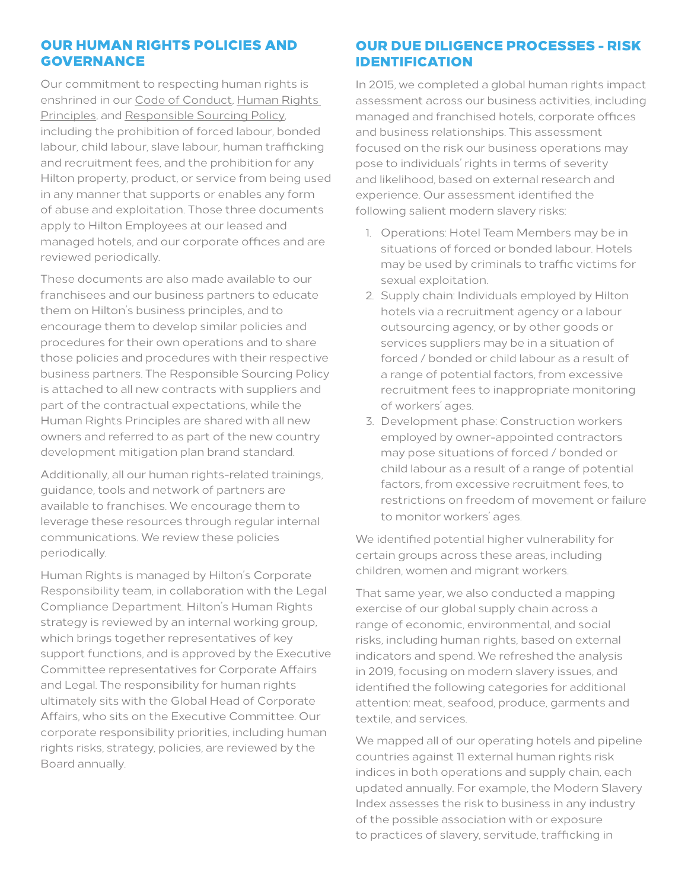# OUR HUMAN RIGHTS POLICIES AND GOVERNANCE

Our commitment to respecting human rights is enshrined in our [Code of Conduct,](https://ir.hilton.com/~/media/Files/H/Hilton-Worldwide-IR-V3/committee-composition/hlt-code-of-conduct-en-rev-05-10-17.pdf) [Human Rights](https://ir.hilton.com/~/media/Files/H/Hilton-Worldwide-IR-V3/committee-composition/hilton-human-rights-principles-2019.pdf)  [Principles,](https://ir.hilton.com/~/media/Files/H/Hilton-Worldwide-IR-V3/committee-composition/hilton-human-rights-principles-2019.pdf) and [Responsible Sourcing Policy](https://ir.hilton.com/~/media/Files/H/Hilton-Worldwide-IR-V3/committee-composition/responsible-sourcing-policy-march-2017.pdf), including the prohibition of forced labour, bonded labour, child labour, slave labour, human trafficking and recruitment fees, and the prohibition for any Hilton property, product, or service from being used in any manner that supports or enables any form of abuse and exploitation. Those three documents apply to Hilton Employees at our leased and managed hotels, and our corporate offices and are reviewed periodically.

These documents are also made available to our franchisees and our business partners to educate them on Hilton's business principles, and to encourage them to develop similar policies and procedures for their own operations and to share those policies and procedures with their respective business partners. The Responsible Sourcing Policy is attached to all new contracts with suppliers and part of the contractual expectations, while the Human Rights Principles are shared with all new owners and referred to as part of the new country development mitigation plan brand standard.

Additionally, all our human rights-related trainings, guidance, tools and network of partners are available to franchises. We encourage them to leverage these resources through regular internal communications. We review these policies periodically.

Human Rights is managed by Hilton's Corporate Responsibility team, in collaboration with the Legal Compliance Department. Hilton's Human Rights strategy is reviewed by an internal working group, which brings together representatives of key support functions, and is approved by the Executive Committee representatives for Corporate Affairs and Legal. The responsibility for human rights ultimately sits with the Global Head of Corporate Affairs, who sits on the Executive Committee. Our corporate responsibility priorities, including human rights risks, strategy, policies, are reviewed by the Board annually.

# OUR DUE DILIGENCE PROCESSES - RISK IDENTIFICATION

In 2015, we completed a global human rights impact assessment across our business activities, including managed and franchised hotels, corporate offices and business relationships. This assessment focused on the risk our business operations may pose to individuals' rights in terms of severity and likelihood, based on external research and experience. Our assessment identified the following salient modern slavery risks:

- 1. Operations: Hotel Team Members may be in situations of forced or bonded labour. Hotels may be used by criminals to traffic victims for sexual exploitation.
- 2. Supply chain: Individuals employed by Hilton hotels via a recruitment agency or a labour outsourcing agency, or by other goods or services suppliers may be in a situation of forced / bonded or child labour as a result of a range of potential factors, from excessive recruitment fees to inappropriate monitoring of workers' ages.
- 3. Development phase: Construction workers employed by owner-appointed contractors may pose situations of forced / bonded or child labour as a result of a range of potential factors, from excessive recruitment fees, to restrictions on freedom of movement or failure to monitor workers' ages.

We identified potential higher vulnerability for certain groups across these areas, including children, women and migrant workers.

That same year, we also conducted a mapping exercise of our global supply chain across a range of economic, environmental, and social risks, including human rights, based on external indicators and spend. We refreshed the analysis in 2019, focusing on modern slavery issues, and identified the following categories for additional attention: meat, seafood, produce, garments and textile, and services.

We mapped all of our operating hotels and pipeline countries against 11 external human rights risk indices in both operations and supply chain, each updated annually. For example, the Modern Slavery Index assesses the risk to business in any industry of the possible association with or exposure to practices of slavery, servitude, trafficking in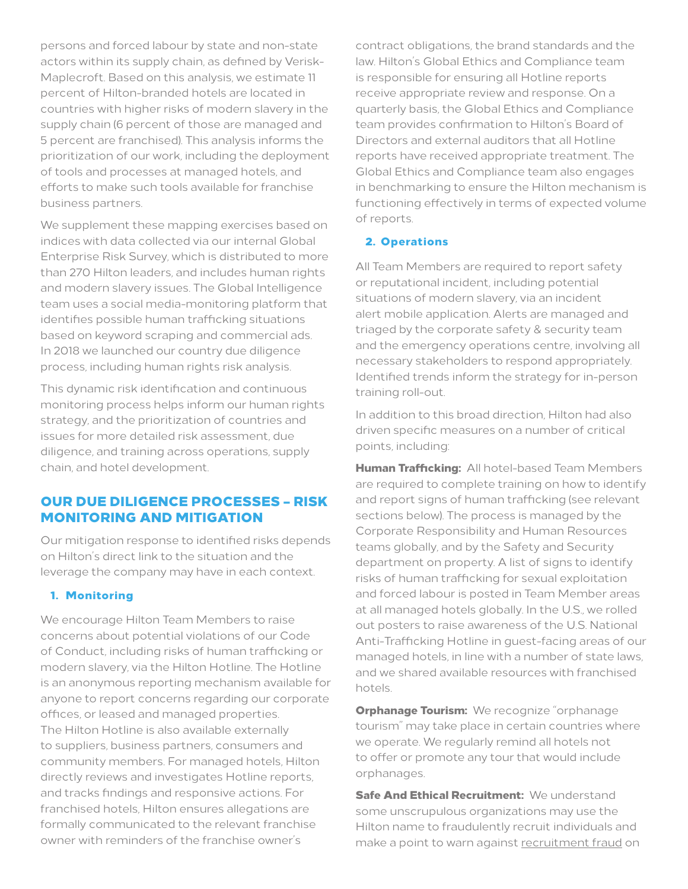persons and forced labour by state and non-state actors within its supply chain, as defined by Verisk-Maplecroft. Based on this analysis, we estimate 11 percent of Hilton-branded hotels are located in countries with higher risks of modern slavery in the supply chain (6 percent of those are managed and 5 percent are franchised). This analysis informs the prioritization of our work, including the deployment of tools and processes at managed hotels, and efforts to make such tools available for franchise business partners.

We supplement these mapping exercises based on indices with data collected via our internal Global Enterprise Risk Survey, which is distributed to more than 270 Hilton leaders, and includes human rights and modern slavery issues. The Global Intelligence team uses a social media-monitoring platform that identifies possible human trafficking situations based on keyword scraping and commercial ads. In 2018 we launched our country due diligence process, including human rights risk analysis.

This dynamic risk identification and continuous monitoring process helps inform our human rights strategy, and the prioritization of countries and issues for more detailed risk assessment, due diligence, and training across operations, supply chain, and hotel development.

## OUR DUE DILIGENCE PROCESSES – RISK MONITORING AND MITIGATION

Our mitigation response to identified risks depends on Hilton's direct link to the situation and the leverage the company may have in each context.

#### 1. Monitoring

We encourage Hilton Team Members to raise concerns about potential violations of our Code of Conduct, including risks of human trafficking or modern slavery, via the Hilton Hotline. The Hotline is an anonymous reporting mechanism available for anyone to report concerns regarding our corporate offices, or leased and managed properties. The Hilton Hotline is also available externally to suppliers, business partners, consumers and community members. For managed hotels, Hilton directly reviews and investigates Hotline reports, and tracks findings and responsive actions. For franchised hotels, Hilton ensures allegations are formally communicated to the relevant franchise owner with reminders of the franchise owner's

contract obligations, the brand standards and the law. Hilton's Global Ethics and Compliance team is responsible for ensuring all Hotline reports receive appropriate review and response. On a quarterly basis, the Global Ethics and Compliance team provides confirmation to Hilton's Board of Directors and external auditors that all Hotline reports have received appropriate treatment. The Global Ethics and Compliance team also engages in benchmarking to ensure the Hilton mechanism is functioning effectively in terms of expected volume of reports.

#### 2. Operations

All Team Members are required to report safety or reputational incident, including potential situations of modern slavery, via an incident alert mobile application. Alerts are managed and triaged by the corporate safety & security team and the emergency operations centre, involving all necessary stakeholders to respond appropriately. Identified trends inform the strategy for in-person training roll-out.

In addition to this broad direction, Hilton had also driven specific measures on a number of critical points, including:

Human Trafficking: All hotel-based Team Members are required to complete training on how to identify and report signs of human trafficking (see relevant sections below). The process is managed by the Corporate Responsibility and Human Resources teams globally, and by the Safety and Security department on property. A list of signs to identify risks of human trafficking for sexual exploitation and forced labour is posted in Team Member areas at all managed hotels globally. In the U.S., we rolled out posters to raise awareness of the U.S. National Anti-Trafficking Hotline in guest-facing areas of our managed hotels, in line with a number of state laws, and we shared available resources with franchised hotels.

**Orphanage Tourism:** We recognize "orphanage tourism" may take place in certain countries where we operate. We regularly remind all hotels not to offer or promote any tour that would include orphanages.

**Safe And Ethical Recruitment: We understand** some unscrupulous organizations may use the Hilton name to fraudulently recruit individuals and make a point to warn against [recruitment fraud](https://assets.phenompeople.com/CareerConnectResources/HILTGLOBAL/en_us/desktop/assets/images/recruitment-fraud-one-pager.pdf) on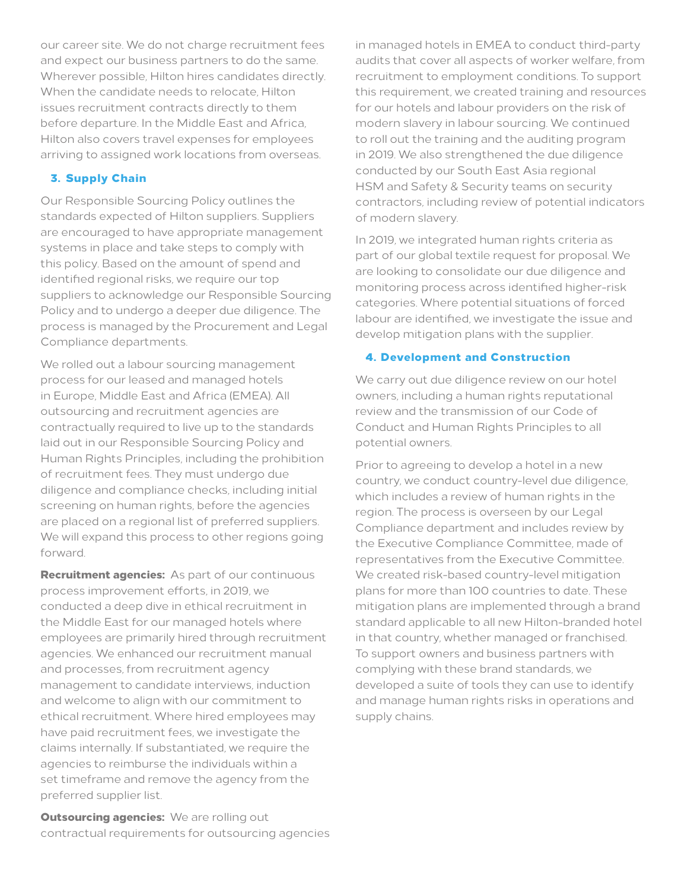our career site. We do not charge recruitment fees and expect our business partners to do the same. Wherever possible, Hilton hires candidates directly. When the candidate needs to relocate, Hilton issues recruitment contracts directly to them before departure. In the Middle East and Africa, Hilton also covers travel expenses for employees arriving to assigned work locations from overseas.

## 3. Supply Chain

Our Responsible Sourcing Policy outlines the standards expected of Hilton suppliers. Suppliers are encouraged to have appropriate management systems in place and take steps to comply with this policy. Based on the amount of spend and identified regional risks, we require our top suppliers to acknowledge our Responsible Sourcing Policy and to undergo a deeper due diligence. The process is managed by the Procurement and Legal Compliance departments.

We rolled out a labour sourcing management process for our leased and managed hotels in Europe, Middle East and Africa (EMEA). All outsourcing and recruitment agencies are contractually required to live up to the standards laid out in our Responsible Sourcing Policy and Human Rights Principles, including the prohibition of recruitment fees. They must undergo due diligence and compliance checks, including initial screening on human rights, before the agencies are placed on a regional list of preferred suppliers. We will expand this process to other regions going forward.

**Recruitment agencies:** As part of our continuous process improvement efforts, in 2019, we conducted a deep dive in ethical recruitment in the Middle East for our managed hotels where employees are primarily hired through recruitment agencies. We enhanced our recruitment manual and processes, from recruitment agency management to candidate interviews, induction and welcome to align with our commitment to ethical recruitment. Where hired employees may have paid recruitment fees, we investigate the claims internally. If substantiated, we require the agencies to reimburse the individuals within a set timeframe and remove the agency from the preferred supplier list.

**Outsourcing agencies:** We are rolling out contractual requirements for outsourcing agencies in managed hotels in EMEA to conduct third-party audits that cover all aspects of worker welfare, from recruitment to employment conditions. To support this requirement, we created training and resources for our hotels and labour providers on the risk of modern slavery in labour sourcing. We continued to roll out the training and the auditing program in 2019. We also strengthened the due diligence conducted by our South East Asia regional HSM and Safety & Security teams on security contractors, including review of potential indicators of modern slavery.

In 2019, we integrated human rights criteria as part of our global textile request for proposal. We are looking to consolidate our due diligence and monitoring process across identified higher-risk categories. Where potential situations of forced labour are identified, we investigate the issue and develop mitigation plans with the supplier.

#### 4. Development and Construction

We carry out due diligence review on our hotel owners, including a human rights reputational review and the transmission of our Code of Conduct and Human Rights Principles to all potential owners.

Prior to agreeing to develop a hotel in a new country, we conduct country-level due diligence, which includes a review of human rights in the region. The process is overseen by our Legal Compliance department and includes review by the Executive Compliance Committee, made of representatives from the Executive Committee. We created risk-based country-level mitigation plans for more than 100 countries to date. These mitigation plans are implemented through a brand standard applicable to all new Hilton-branded hotel in that country, whether managed or franchised. To support owners and business partners with complying with these brand standards, we developed a suite of tools they can use to identify and manage human rights risks in operations and supply chains.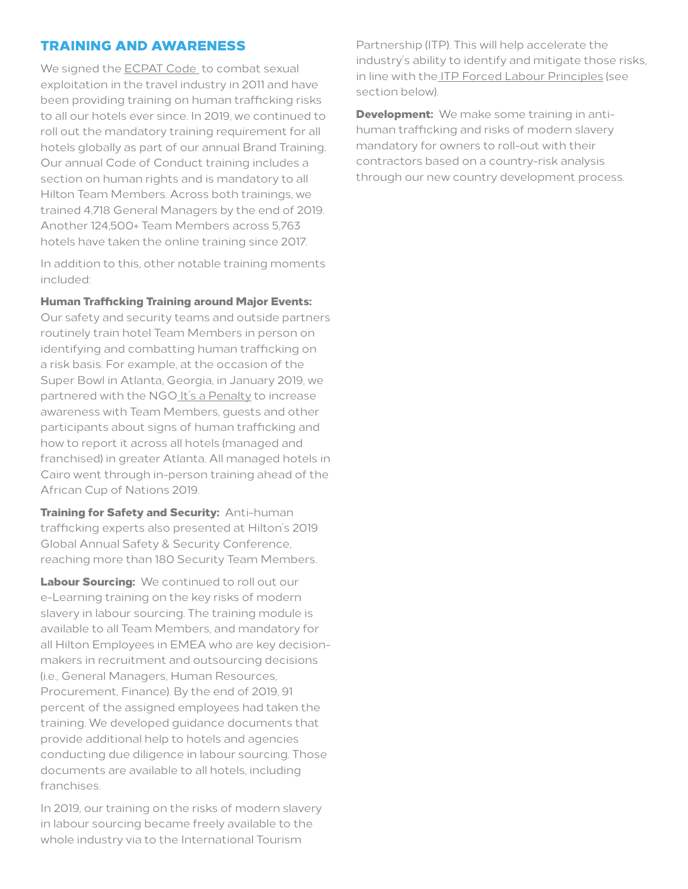#### TRAINING AND AWARENESS

We signed the [ECPAT Code](http://www.thecode.org) to combat sexual exploitation in the travel industry in 2011 and have been providing training on human trafficking risks to all our hotels ever since. In 2019, we continued to roll out the mandatory training requirement for all hotels globally as part of our annual Brand Training. Our annual Code of Conduct training includes a section on human rights and is mandatory to all Hilton Team Members. Across both trainings, we trained 4,718 General Managers by the end of 2019. Another 124,500+ Team Members across 5,763 hotels have taken the online training since 2017.

In addition to this, other notable training moments included:

#### Human Trafficking Training around Major Events:

Our safety and security teams and outside partners routinely train hotel Team Members in person on identifying and combatting human trafficking on a risk basis. For example, at the occasion of the Super Bowl in Atlanta, Georgia, in January 2019, we partnered with the NG[O It's a Penalty](https://itsapenalty.org/2019-superbowl-liii-in-atlanta/) to increase awareness with Team Members, guests and other participants about signs of human trafficking and how to report it across all hotels (managed and franchised) in greater Atlanta. All managed hotels in Cairo went through in-person training ahead of the African Cup of Nations 2019.

**Training for Safety and Security: Anti-human** trafficking experts also presented at Hilton's 2019 Global Annual Safety & Security Conference, reaching more than 180 Security Team Members.

Labour Sourcing: We continued to roll out our e-Learning training on the key risks of modern slavery in labour sourcing. The training module is available to all Team Members, and mandatory for all Hilton Employees in EMEA who are key decisionmakers in recruitment and outsourcing decisions (i.e., General Managers, Human Resources, Procurement, Finance). By the end of 2019, 91 percent of the assigned employees had taken the training. We developed guidance documents that provide additional help to hotels and agencies conducting due diligence in labour sourcing. Those documents are available to all hotels, including franchises.

In 2019, our training on the risks of modern slavery in labour sourcing became freely available to the whole industry via to the International Tourism

Partnership (ITP). This will help accelerate the industry's ability to identify and mitigate those risks, in line with the [ITP Forced Labour Principles](https://www.tourismpartnership.org/wp-content/uploads/2018/06/ITP_Forced-Labour-Infographic_v7-copy.pdf) (see section below).

**Development:** We make some training in antihuman trafficking and risks of modern slavery mandatory for owners to roll-out with their contractors based on a country-risk analysis through our new country development process.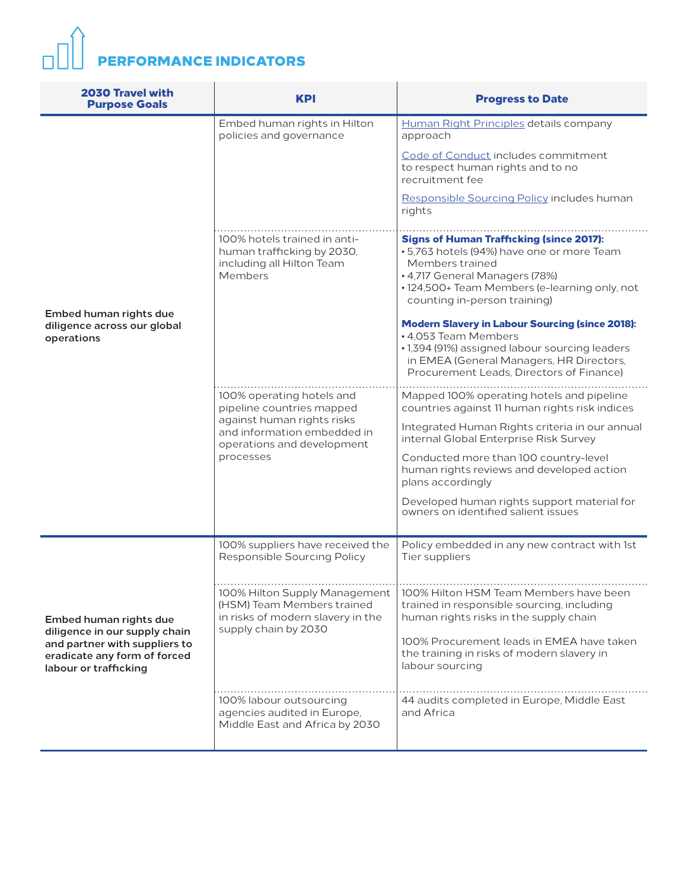# **PERFORMANCE INDICATORS**

| <b>2030 Travel with</b><br><b>Purpose Goals</b>                                                                                                   | <b>KPI</b>                                                                                                                                                     | <b>Progress to Date</b>                                                                                                                                                                                                                                                                                                                                                                  |
|---------------------------------------------------------------------------------------------------------------------------------------------------|----------------------------------------------------------------------------------------------------------------------------------------------------------------|------------------------------------------------------------------------------------------------------------------------------------------------------------------------------------------------------------------------------------------------------------------------------------------------------------------------------------------------------------------------------------------|
|                                                                                                                                                   | Embed human rights in Hilton<br>policies and governance                                                                                                        | Human Right Principles details company<br>approach<br>Code of Conduct includes commitment<br>to respect human rights and to no<br>recruitment fee<br>Responsible Sourcing Policy includes human<br>rights                                                                                                                                                                                |
| Embed human rights due<br>diligence across our global<br>operations                                                                               | 100% hotels trained in anti-<br>human trafficking by 2030,<br>including all Hilton Team<br>Members                                                             | <b>Signs of Human Trafficking (since 2017):</b><br>• 5,763 hotels (94%) have one or more Team<br>Members trained<br>• 4,717 General Managers (78%)<br>• 124,500+ Team Members (e-learning only, not<br>counting in-person training)<br><b>Modern Slavery in Labour Sourcing (since 2018):</b><br>• 4,053 Team Members                                                                    |
|                                                                                                                                                   |                                                                                                                                                                | · 1,394 (91%) assigned labour sourcing leaders<br>in EMEA (General Managers, HR Directors,<br>Procurement Leads, Directors of Finance)                                                                                                                                                                                                                                                   |
|                                                                                                                                                   | 100% operating hotels and<br>pipeline countries mapped<br>against human rights risks<br>and information embedded in<br>operations and development<br>processes | Mapped 100% operating hotels and pipeline<br>countries against 11 human rights risk indices<br>Integrated Human Rights criteria in our annual<br>internal Global Enterprise Risk Survey<br>Conducted more than 100 country-level<br>human rights reviews and developed action<br>plans accordingly<br>Developed human rights support material for<br>owners on identified salient issues |
|                                                                                                                                                   | 100% suppliers have received the<br>Responsible Sourcing Policy                                                                                                | Policy embedded in any new contract with 1st<br>Tier suppliers                                                                                                                                                                                                                                                                                                                           |
| Embed human rights due<br>diligence in our supply chain<br>and partner with suppliers to<br>eradicate any form of forced<br>labour or trafficking | 100% Hilton Supply Management<br>(HSM) Team Members trained<br>in risks of modern slavery in the<br>supply chain by 2030                                       | 100% Hilton HSM Team Members have been<br>trained in responsible sourcing, including<br>human rights risks in the supply chain<br>100% Procurement leads in EMEA have taken<br>the training in risks of modern slavery in<br>labour sourcing                                                                                                                                             |
|                                                                                                                                                   | 100% labour outsourcing<br>agencies audited in Europe,<br>Middle East and Africa by 2030                                                                       | 44 audits completed in Europe, Middle East<br>and Africa                                                                                                                                                                                                                                                                                                                                 |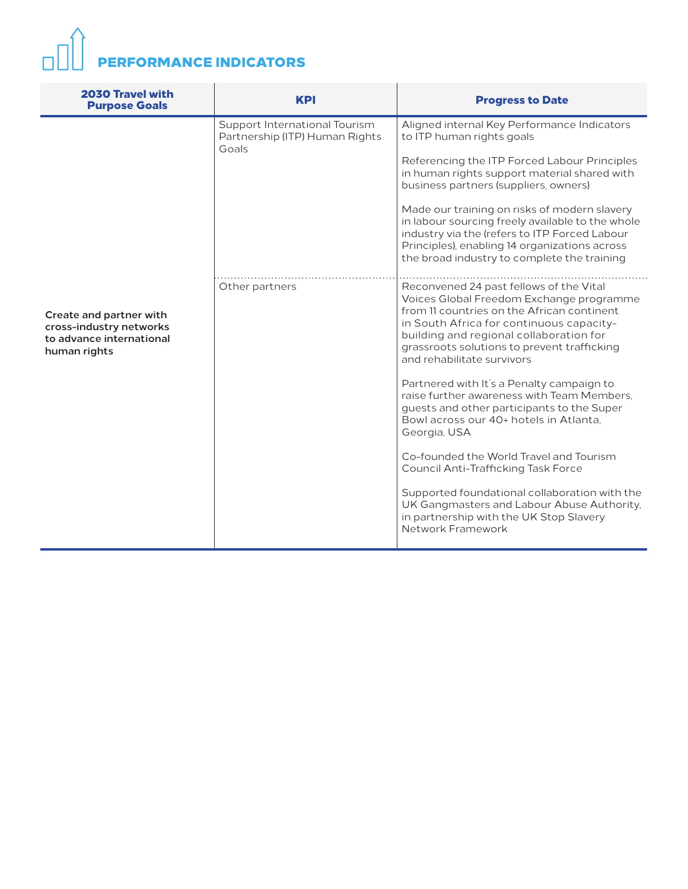# $\Box$ math> PERFORMANCE INDICATORS

| <b>2030 Travel with</b><br><b>Purpose Goals</b>                                                | <b>KPI</b>                                                               | <b>Progress to Date</b>                                                                                                                                                                                                                                                                                                                                                                                                                                                |
|------------------------------------------------------------------------------------------------|--------------------------------------------------------------------------|------------------------------------------------------------------------------------------------------------------------------------------------------------------------------------------------------------------------------------------------------------------------------------------------------------------------------------------------------------------------------------------------------------------------------------------------------------------------|
|                                                                                                | Support International Tourism<br>Partnership (ITP) Human Rights<br>Goals | Aligned internal Key Performance Indicators<br>to ITP human rights goals<br>Referencing the ITP Forced Labour Principles<br>in human rights support material shared with<br>business partners (suppliers, owners)<br>Made our training on risks of modern slavery<br>in labour sourcing freely available to the whole<br>industry via the (refers to ITP Forced Labour<br>Principles), enabling 14 organizations across<br>the broad industry to complete the training |
| Create and partner with<br>cross-industry networks<br>to advance international<br>human rights | Other partners                                                           | Reconvened 24 past fellows of the Vital<br>Voices Global Freedom Exchange programme<br>from 11 countries on the African continent<br>in South Africa for continuous capacity-<br>building and regional collaboration for<br>grassroots solutions to prevent trafficking<br>and rehabilitate survivors                                                                                                                                                                  |
|                                                                                                |                                                                          | Partnered with It's a Penalty campaign to<br>raise further awareness with Team Members.<br>guests and other participants to the Super<br>Bowl across our 40+ hotels in Atlanta.<br>Georgia, USA                                                                                                                                                                                                                                                                        |
|                                                                                                |                                                                          | Co-founded the World Travel and Tourism<br><b>Council Anti-Trafficking Task Force</b>                                                                                                                                                                                                                                                                                                                                                                                  |
|                                                                                                |                                                                          | Supported foundational collaboration with the<br>UK Gangmasters and Labour Abuse Authority,<br>in partnership with the UK Stop Slavery<br>Network Framework                                                                                                                                                                                                                                                                                                            |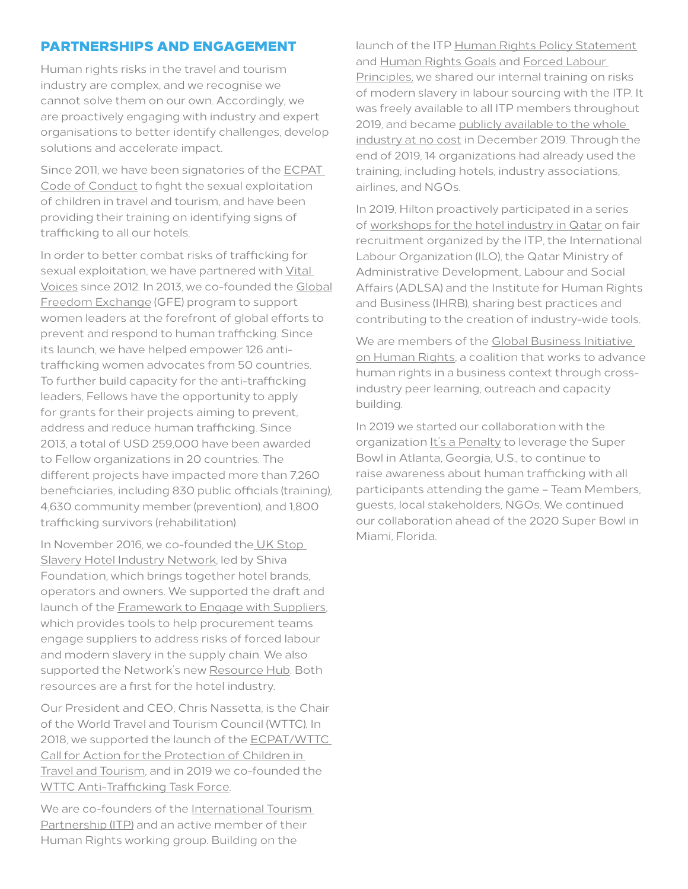# PARTNERSHIPS AND ENGAGEMENT

Human rights risks in the travel and tourism industry are complex, and we recognise we cannot solve them on our own. Accordingly, we are proactively engaging with industry and expert organisations to better identify challenges, develop solutions and accelerate impact.

Since 2011, we have been signatories of the [ECPAT](http://www.thecode.org)  [Code of Conduct](http://www.thecode.org) to fight the sexual exploitation of children in travel and tourism, and have been providing their training on identifying signs of trafficking to all our hotels.

In order to better combat risks of trafficking for sexual exploitation, we have partnered with Vital [Voices](https://www.vitalvoices.org) since 2012. In 2013, we co-founded the [Global](https://www.vitalvoices.org/what-we-do/signature-programs/gfe/)  [Freedom Exchange](https://www.vitalvoices.org/what-we-do/signature-programs/gfe/) (GFE) program to support women leaders at the forefront of global efforts to prevent and respond to human trafficking. Since its launch, we have helped empower 126 antitrafficking women advocates from 50 countries. To further build capacity for the anti-trafficking leaders, Fellows have the opportunity to apply for grants for their projects aiming to prevent, address and reduce human trafficking. Since 2013, a total of USD 259,000 have been awarded to Fellow organizations in 20 countries. The different projects have impacted more than 7,260 beneficiaries, including 830 public officials (training), 4,630 community member (prevention), and 1,800 trafficking survivors (rehabilitation).

In November 2016, we co-founded the [UK Stop](https://www.stopslaverynetwork.org)  [Slavery Hotel Industry Network](https://www.stopslaverynetwork.org), led by Shiva Foundation, which brings together hotel brands, operators and owners. We supported the draft and launch of the [Framework to Engage with Suppliers](http://www.stopslaverynetwork.org/wp-content/uploads/2018/03/SF17_SHIN_framework_dec17-11-links-RGB-min-1.pdf), which provides tools to help procurement teams engage suppliers to address risks of forced labour and modern slavery in the supply chain. We also supported the Network's new [Resource Hub](https://www.stopslaverynetwork.org/resource_hub/). Both resources are a first for the hotel industry.

Our President and CEO, Chris Nassetta, is the Chair of the World Travel and Tourism Council (WTTC). In 2018, we supported the launch of the [ECPAT/WTTC](https://www.wttc.org/-/media/files/reports/2018/child-protection-call-for-action-summit-2018.pdf)  [Call for Action for the Protection of Children in](https://www.wttc.org/-/media/files/reports/2018/child-protection-call-for-action-summit-2018.pdf)  [Travel and Tourism](https://www.wttc.org/-/media/files/reports/2018/child-protection-call-for-action-summit-2018.pdf), and in 2019 we co-founded the [WTTC Anti-Trafficking Task Force](https://wttc.org/en-us/).

We are co-founders of the [International Tourism](https://www.tourismpartnership.org)  [Partnership \(ITP\)](https://www.tourismpartnership.org) and an active member of their Human Rights working group. Building on the

launch of the ITP [Human Rights Policy Statement](https://www.tourismpartnership.org/human-rights/download/1887) and [Human Rights Goals](https://www.tourismpartnership.org/global-goals/) and [Forced Labour](https://www.tourismpartnership.org/wp-content/uploads/2018/06/ITP_Forced-Labour-Infographic_v7-copy.pdf)  [Principles,](https://www.tourismpartnership.org/wp-content/uploads/2018/06/ITP_Forced-Labour-Infographic_v7-copy.pdf) we shared our internal training on risks of modern slavery in labour sourcing with the ITP. It was freely available to all ITP members throughout 2019, and became [publicly available to the whole](https://www.tourismpartnership.org/blog/human-rights-training/)  [industry at no cost](https://www.tourismpartnership.org/blog/human-rights-training/) in December 2019. Through the end of 2019, 14 organizations had already used the training, including hotels, industry associations, airlines, and NGOs.

In 2019, Hilton proactively participated in a series of [workshops for the hotel industry in Qatar](https://www.tourismpartnership.org/blog/labour-rights-in-the-hospitality-sector-in-qatar/) on fair recruitment organized by the ITP, the International Labour Organization (ILO), the Qatar Ministry of Administrative Development, Labour and Social Affairs (ADLSA) and the Institute for Human Rights and Business (IHRB), sharing best practices and contributing to the creation of industry-wide tools.

We are members of the Global Business Initiative [on Human Rights,](https://gbihr.org) a coalition that works to advance human rights in a business context through crossindustry peer learning, outreach and capacity building.

In 2019 we started our collaboration with the organization [It's a Penalty](https://itsapenalty.org/2019-superbowl-liii-in-atlanta/) to leverage the Super Bowl in Atlanta, Georgia, U.S., to continue to raise awareness about human trafficking with all participants attending the game – Team Members, guests, local stakeholders, NGOs. We continued our collaboration ahead of the 2020 Super Bowl in Miami, Florida.